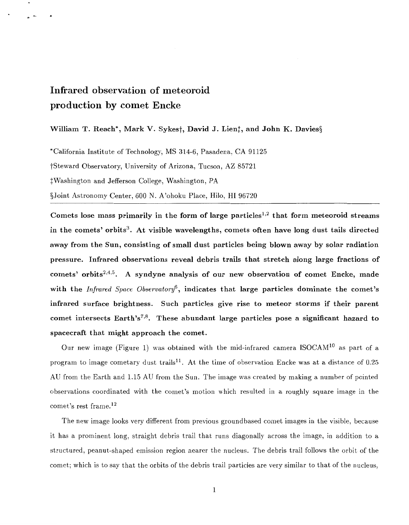## <span id="page-0-0"></span>**Infrared observation of meteoroid production by comet Encke**

## William T. Reach<sup>\*</sup>, Mark V. Sykes<sup>†</sup>, David J. Lien<sup>†</sup>, and John K. Davies<sup>§</sup>

\*California Institute of Technology, MS 314-6, Pasadena, CA 91125 tSteward Observatory, University of Arizona, Tucson, AZ 85721  $\ddagger$ Washington and Jefferson College, Washington, PA §Joint Astronomy Center, 600 N. A'ohoku Place, Hilo, HI 96720

Comets lose mass primarily in the form of large particles<sup>1,2</sup> that form meteoroid streams in the comets' orbits<sup>3</sup>. At visible wavelengths, comets often have long dust tails directed away from the Sun, consisting of small dust particles being blown away by solar radiation pressure. Infrared observations reveal debris trails that stretch along large fractions **of**  comets' orbits<sup> $2,4,5$ </sup>. A syndyne analysis of our new observation of comet Encke, made with the *Infrared Space Observatory',* indicates that large particles dominate the comet's infrared surface brightness. Such particles give rise to meteor storms if their parent comet intersects Earth's<sup>7,8</sup>. These abundant large particles pose a significant hazard to spacecraft that might approach the comet.

Our new image (Figure 1) was obtained with the mid-infrared camera  $ISOCAM<sup>10</sup>$  as part of a program to image cometary dust trails<sup>11</sup>. At the time of observation Encke was at a distance of  $0.25$ AU from the Earth and 1.15 AU from the Sun. The image was created by making a number of pointed observations coordinated with the comet's motion which resulted in a roughly square image in the comet's rest frame.12

The new image looks very different from previous groundbased comet images in the visible, because it has a prominent long, straight debris trail that runs diagonally across the image, in addition to a structured, peanut-shaped emission region nearer the nucleus. The debris trail follows the orbit of the comet; which is to say that the orbits of the debris trail particles are very similar to that of the nucleus,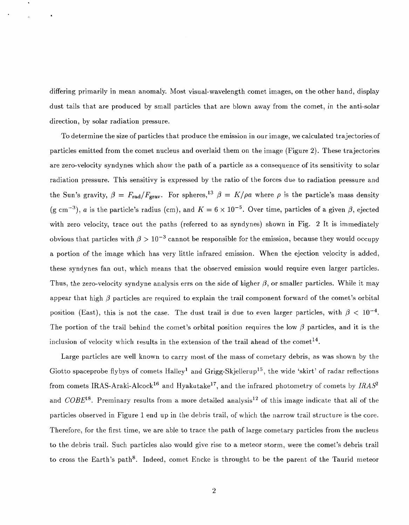differing primarily in mean anomaly. Most visual-wavelength comet images, on the other hand, display dust tails that are produced by small particles that are blown away from the comet, in the anti-solar direction, by solar radiation pressure.

To determine the size of particles that produce the emission in our image, we calculated trajectories of particles emitted from the comet nucleus and overlaid them on the image (Figure 2). These trajectories are zero-velocity syndynes which show the path of a particle as a consequence of its sensitivity to solar radiation pressure. This sensitivy is expressed by the ratio of the forces due to radiation pressure and the Sun's gravity,  $\beta = F_{rad}/F_{grav}$ . For spheres,<sup>13</sup>  $\beta = K/\rho a$  where  $\rho$  is the particle's mass density (g cm<sup>-3</sup>), *a* is the particle's radius (cm), and  $K = 6 \times 10^{-5}$ . Over time, particles of a given  $\beta$ , ejected with zero velocity, trace out the paths (referred to as syndynes) shown in Fig. 2 It is immediately obvious that particles with  $\beta > 10^{-3}$  cannot be responsible for the emission, because they would occupy a portion of the image which has very little infrared emission. When the ejection velocity is added, these syndynes fan out, which means that the observed emission would require even larger particles. Thus, the zero-velocity syndyne analysis errs on the side of higher  $\beta$ , or smaller particles. While it may appear that high  $\beta$  particles are required to explain the trail component forward of the comet's orbital position (East), this is not the case. The dust trail is due to even larger particles, with  $\beta < 10^{-4}$ . The portion of the trail behind the comet's orbital position requires the low  $\beta$  particles, and it is the inclusion of velocity which results in the extension of the trail ahead of the comet<sup>14</sup>.

Large particles are well known to carry most of the mass of cometary debris, as was shown by the Giotto spaceprobe flybys of comets  $H\text{alley}^1$  and Grigg-Skjellerup<sup>15</sup>, the wide 'skirt' of radar reflections from comets IRAS-Araki-Alcock<sup>16</sup> and Hyakutake<sup>17</sup>, and the infrared photometry of comets by *IRAS*<sup>2</sup> and COBE<sup>18</sup>. Preminary results from a more detailed analysis<sup>12</sup> of this image indicate that all of the particles observed in Figure 1 end up in the debris trail, of which the narrow trail structure is the core. Therefore, for the first time, we are able to trace the path of large cometary particles from the nucleus to the debris trail. Such particles also would give rise to a meteor storm, were the comet's debris trail to cross the Earth's path<sup>8</sup>. Indeed, comet Encke is throught to be the parent of the Taurid meteor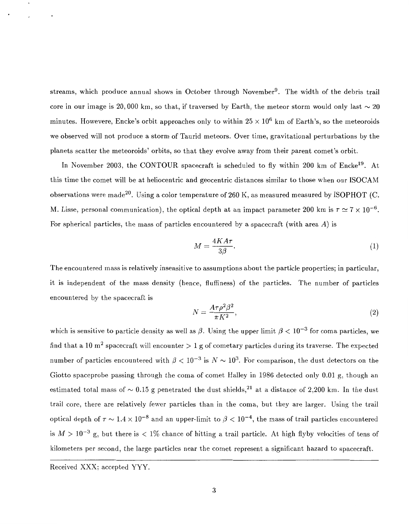streams, which produce annual shows in October through November<sup>9</sup>. The width of the debris trail core in our image is 20,000 km, so that, if traversed by Earth, the meteor storm would only last  $\sim 20$ minutes. Howevere, Encke's orbit approaches only to within  $25 \times 10^6$  km of Earth's, so the meteoroids we observed will not produce a storm of Taurid meteors. Over time, gravitational perturbations by the planets scatter the meteoroids' orbits, so that they evolve away from their parent comet's orbit.

In November 2003, the CONTOUR spacecraft is scheduled to fly within 200 km of Encke<sup>19</sup>. At this time the comet will be at heliocentric and geocentric distances similar to those when our ISOCAM observations were made<sup>20</sup>. Using a color temperature of 260 K, as measured measured by ISOPHOT (C. M. Lisse, personal communication), the optical depth at an impact parameter 200 km is  $\tau \simeq 7 \times 10^{-6}$ . For spherical particles, the mass of particles encountered by a spacecraft (with area *A)* is

$$
M = \frac{4KA\tau}{3\beta}.\tag{1}
$$

The encountered mass is relatively insensitive to assumptions about the particle properties; in particular, it is independent of the mass density (hence, fluffiness) of the particles. The number of particles encountered by the spacecraft is

$$
N = \frac{A\tau\rho^2\beta^2}{\pi K^2},\tag{2}
$$

which is sensitive to particle density as well as  $\beta$ . Using the upper limit  $\beta < 10^{-3}$  for coma particles, we find that a 10 m<sup>2</sup> spacecraft will encounter  $> 1$  g of cometary particles during its traverse. The expected number of particles encountered with  $\beta < 10^{-3}$  is  $N \sim 10^3$ . For comparison, the dust detectors on the Giotto spaceprobe passing through the coma of comet Halley in 1986 detected only 0.01 g, though an estimated total mass of  $\sim 0.15$  g penetrated the dust shields,<sup>21</sup> at a distance of 2,200 km. In the dust trail core, there are relatively fewer particles than in the coma, but they are larger. Using the trail optical depth of  $\tau \sim 1.4 \times 10^{-8}$  and an upper-limit to  $\beta < 10^{-4}$ , the mass of trail particles encountered is  $M > 10^{-3}$  g, but there is  $< 1\%$  chance of hitting a trail particle. At high flyby velocities of tens of kilometers per second, the large particles near the comet represent a significant hazard to spacecraft.

Received XXX; accepted YYY.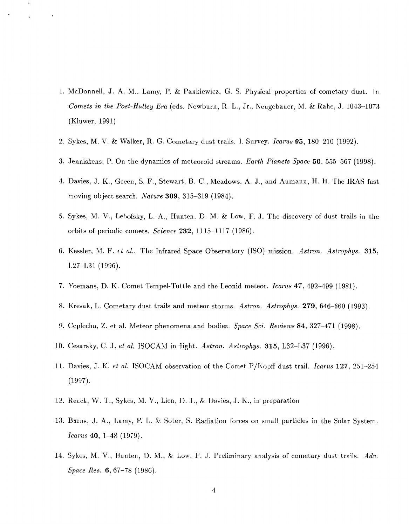- 1. McDonnell, J. A. M., Lamy, P. & Pankiewicz, G. S. Physical properties of cometary dust. In *Comets in the Post-Halley Era* (eds. Newburn, R. L., Jr., Neugebauer, M. & Rahe, J. 1043-1073 (Kluwer, 1991)
- 2. Sykes, M. V. & Walker, R. G. Cometary dust trails. I. Survey. *Icarus* **95,** 180-210 (1992).
- 3. Jenniskens, P. On the dynamics of meteoroid streams. *Earth Planets Space* **50,** 555-567 (1998)
- 4. Davies, J. K., Green, S. F., Stewart, B. C., Meadows, A. J., and Aumann, H. H. The IRAS fast moving object search. *Nature* **309,** 315-319 (1984).
- 5. Sykes, M. V., Lebofsky, L. A., Hunten, D. M. & Low, F. J. The discovery of dust trails in the orbits of periodic comets. *Science* **232,** 1115-1117 (1986).
- 6. Kessler, M. F. *et al..* The Infrared Space Observatory (ISO) mission. *Astron. Astrophys.* **315,**  L27-L31 (1996).
- 7. Yoemans, D. E(. Comet Tempel-Tuttle and the Leonid meteor. *Icarus* **47,** 492-499 (1981).
- 8. Kresak, L. Cometary dust trails and meteor storms. *Astron. Astrophys.* **279,** 646-660 (1993).
- 9. Ceplecha, Z. et al. Meteor phenomena and bodies. *Space Sci. Reviews* **84,** 327-471 (1998).
- 10. Cesarsky, C. J. *et al.* ISOCAM in flight. *Astron. Astrophys.* **315,** L32-L37 (1996).
- 11. Davies, J. K. *et al.* ISOCAM observation of the Comet P/Kopff dust trail. *Icarus* **127,** 251-254 (1997).
- 12. Reach, W. T., Sykes, M. V., Lien, D. J., & Davies, J. K., in preparation
- 13. Burns, J. A., Lamy, P. L. & Soter, S. Radiation forces on small particles in the Solar System. *Icarus* **40**, 1–48 (1979).
- 14. Sykes, M. V., Hunten, D. M., & Low, F. J. Preliminary analysis of cometary dust trails. *Adw. Space Res.* **6,** 67-78 (1986).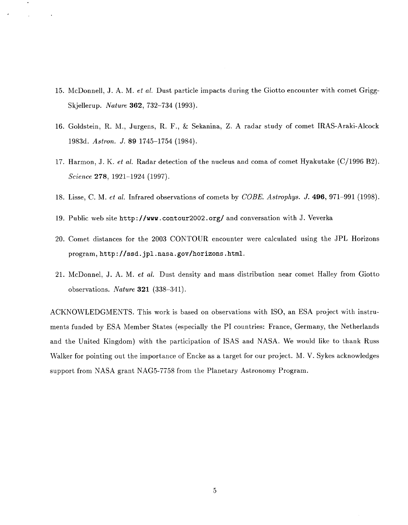- 15. McDonnell, J. A. M. *et al.* Dust particle impacts during the Giotto encounter with comet Grigg-Skjellerup. *Nature* **362,** 732-734 (1993).
- 16. Goldstein, R. M., Jurgens, R. F., *t2* Sekanina, Z. A radar study of comet IRAS-Araki-Alcock 1983d. *Astron. J.* **89** 1745-1754 (1984).
- 17. Harmon, J. K. *et al.* Radar detection of the nucleus and coma of comet Hyakutake (C/1996 B2). *Science* **278,** 1921-1924 (1997).
- 18. Lisse, C. M. *et al.* Infrared observations of comets by *COBE. Astrophys. J.* **496,** 971-991 (1998).
- 19. Public web site http: **//www** . contour2002. org/ and conversation with J. Veverka
- 20. Comet distances for the 2003 CONTOUR encounter were calculated using the JPL Horizons program, http: **//ssd.** jpl .nasa.gov/horizons .html.
- 21. McDonnel, J. A. M, *et al.* Dust density and mass distribution near comet Halley from Giotto observations. *Nature* **321** (338-341).

ACKNOWLEDGMENTS. This work is based on observations with ISO, an ESA project with instruments funded by ESA Member States (especially the PI countries: France, Germany, the Netherlands and the United Kingdom) with the participation of ISAS and NASA. We would like to thank Russ Walker for pointing out the importance of Encke as a target for our project. M. V. Sykes acknowledges support from NASA grant NAG5-7758 from the Planetary Astronomy Program.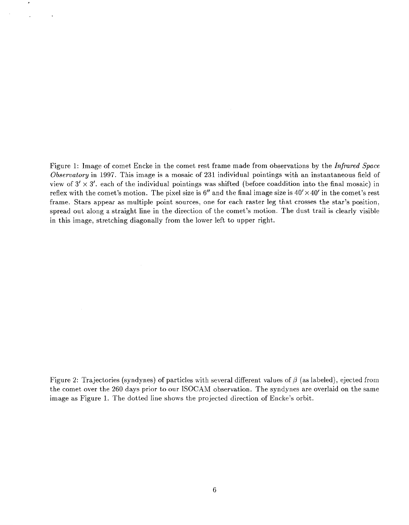Figure 1: Image of comet Encke in the comet rest frame made from observations by the *Infrared Space Observatory* in 1997. This image is a mosaic of **231** individual pointings with an instantaneous field of view of  $3' \times 3'$ , each of the individual pointings was shifted (before coaddition into the final mosaic) in reflex with the comet's motion. The pixel size is  $6''$  and the final image size is  $40' \times 40'$  in the comet's rest frame. Stars appear as multiple point sources, one for each raster leg that crosses the star's position, spread out along a straight line in the direction of the comet's motion. The dust trail is clearly visible in this image, stretching diagonally from the lower left to upper right.

Figure 2: Trajectories (syndynes) of particles with several different values of  $\beta$  (as labeled), ejected from the comet over the **260** days prior to our ISOCAM observation. The syndynes are overlaid on the same image as Figure **1.** The dotted line shows the projected direction of Encke's orbit.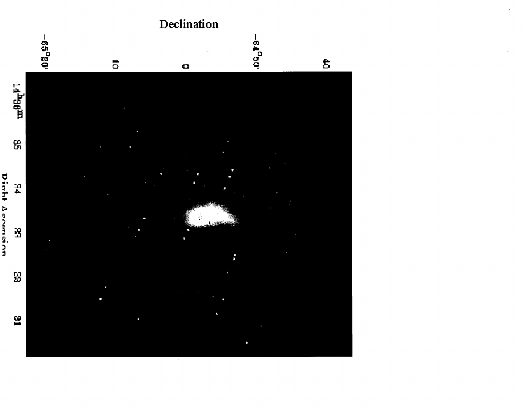